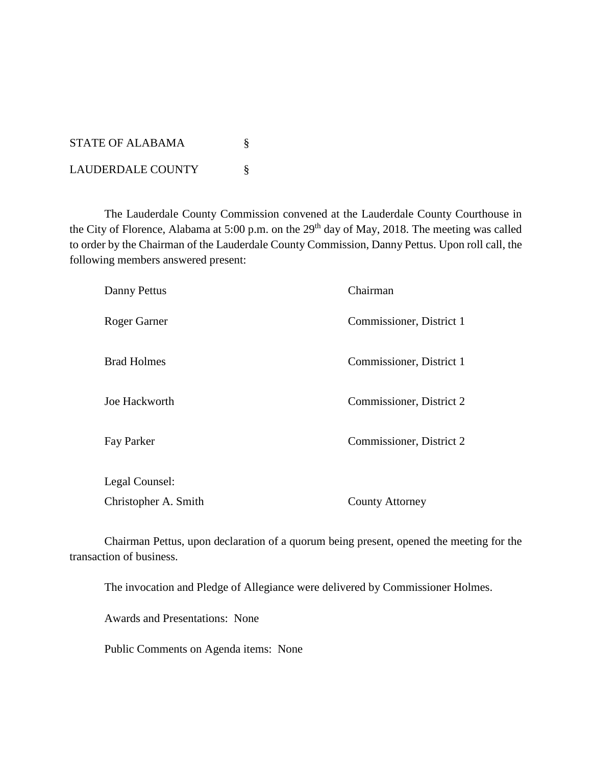| STATE OF ALABAMA  |  |
|-------------------|--|
| LAUDERDALE COUNTY |  |

The Lauderdale County Commission convened at the Lauderdale County Courthouse in the City of Florence, Alabama at 5:00 p.m. on the 29<sup>th</sup> day of May, 2018. The meeting was called to order by the Chairman of the Lauderdale County Commission, Danny Pettus. Upon roll call, the following members answered present:

| Danny Pettus         | Chairman                 |
|----------------------|--------------------------|
| Roger Garner         | Commissioner, District 1 |
| <b>Brad Holmes</b>   | Commissioner, District 1 |
| Joe Hackworth        | Commissioner, District 2 |
| Fay Parker           | Commissioner, District 2 |
| Legal Counsel:       |                          |
| Christopher A. Smith | <b>County Attorney</b>   |

Chairman Pettus, upon declaration of a quorum being present, opened the meeting for the transaction of business.

The invocation and Pledge of Allegiance were delivered by Commissioner Holmes.

Awards and Presentations: None

Public Comments on Agenda items: None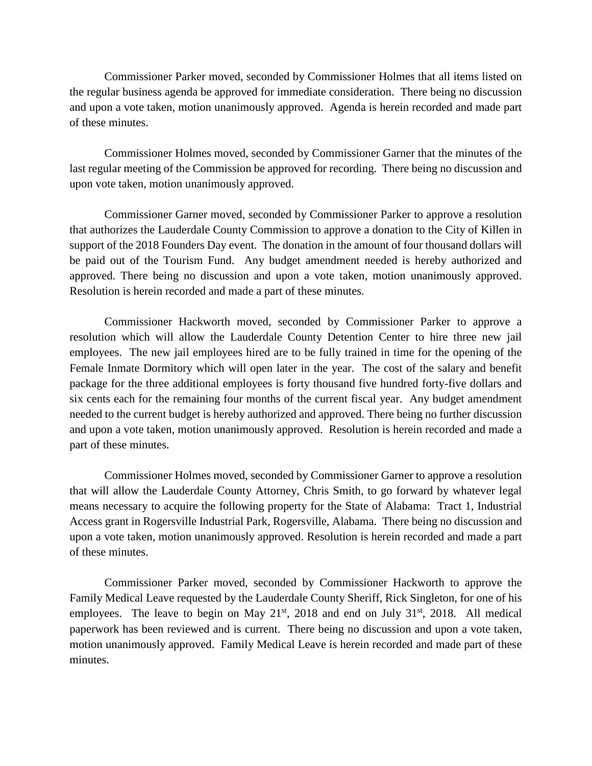Commissioner Parker moved, seconded by Commissioner Holmes that all items listed on the regular business agenda be approved for immediate consideration. There being no discussion and upon a vote taken, motion unanimously approved. Agenda is herein recorded and made part of these minutes.

Commissioner Holmes moved, seconded by Commissioner Garner that the minutes of the last regular meeting of the Commission be approved for recording. There being no discussion and upon vote taken, motion unanimously approved.

Commissioner Garner moved, seconded by Commissioner Parker to approve a resolution that authorizes the Lauderdale County Commission to approve a donation to the City of Killen in support of the 2018 Founders Day event. The donation in the amount of four thousand dollars will be paid out of the Tourism Fund. Any budget amendment needed is hereby authorized and approved. There being no discussion and upon a vote taken, motion unanimously approved. Resolution is herein recorded and made a part of these minutes.

Commissioner Hackworth moved, seconded by Commissioner Parker to approve a resolution which will allow the Lauderdale County Detention Center to hire three new jail employees. The new jail employees hired are to be fully trained in time for the opening of the Female Inmate Dormitory which will open later in the year. The cost of the salary and benefit package for the three additional employees is forty thousand five hundred forty-five dollars and six cents each for the remaining four months of the current fiscal year. Any budget amendment needed to the current budget is hereby authorized and approved. There being no further discussion and upon a vote taken, motion unanimously approved. Resolution is herein recorded and made a part of these minutes.

Commissioner Holmes moved, seconded by Commissioner Garner to approve a resolution that will allow the Lauderdale County Attorney, Chris Smith, to go forward by whatever legal means necessary to acquire the following property for the State of Alabama: Tract 1, Industrial Access grant in Rogersville Industrial Park, Rogersville, Alabama. There being no discussion and upon a vote taken, motion unanimously approved. Resolution is herein recorded and made a part of these minutes.

Commissioner Parker moved, seconded by Commissioner Hackworth to approve the Family Medical Leave requested by the Lauderdale County Sheriff, Rick Singleton, for one of his employees. The leave to begin on May  $21<sup>st</sup>$ ,  $2018$  and end on July  $31<sup>st</sup>$ ,  $2018$ . All medical paperwork has been reviewed and is current. There being no discussion and upon a vote taken, motion unanimously approved. Family Medical Leave is herein recorded and made part of these minutes.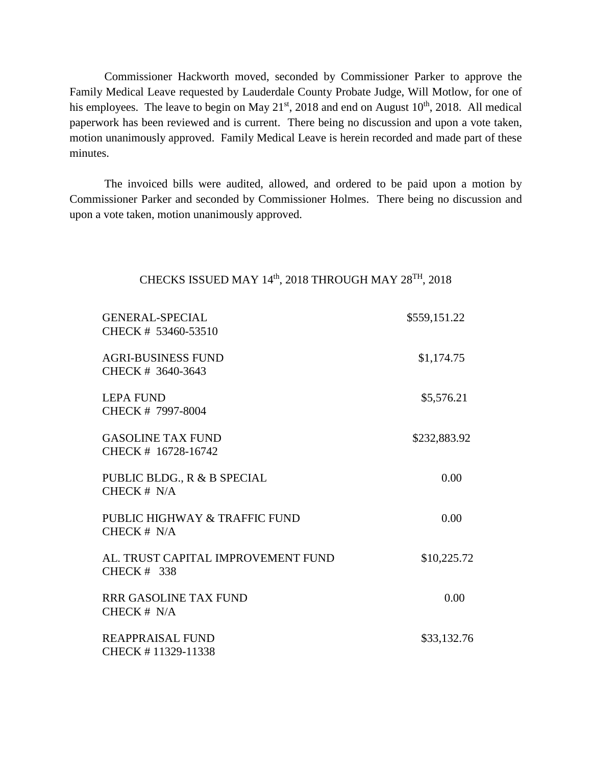Commissioner Hackworth moved, seconded by Commissioner Parker to approve the Family Medical Leave requested by Lauderdale County Probate Judge, Will Motlow, for one of his employees. The leave to begin on May  $21<sup>st</sup>$ , 2018 and end on August  $10<sup>th</sup>$ , 2018. All medical paperwork has been reviewed and is current. There being no discussion and upon a vote taken, motion unanimously approved. Family Medical Leave is herein recorded and made part of these minutes.

The invoiced bills were audited, allowed, and ordered to be paid upon a motion by Commissioner Parker and seconded by Commissioner Holmes. There being no discussion and upon a vote taken, motion unanimously approved.

## CHECKS ISSUED MAY 14th, 2018 THROUGH MAY 28<sup>TH</sup>, 2018

| <b>GENERAL-SPECIAL</b><br>CHECK # 53460-53510       | \$559,151.22 |
|-----------------------------------------------------|--------------|
| <b>AGRI-BUSINESS FUND</b><br>CHECK # 3640-3643      | \$1,174.75   |
| <b>LEPA FUND</b><br>CHECK # 7997-8004               | \$5,576.21   |
| <b>GASOLINE TAX FUND</b><br>CHECK # 16728-16742     | \$232,883.92 |
| PUBLIC BLDG., R & B SPECIAL<br>CHECK $# N/A$        | 0.00         |
| PUBLIC HIGHWAY & TRAFFIC FUND<br>CHECK $# N/A$      | 0.00         |
| AL. TRUST CAPITAL IMPROVEMENT FUND<br>CHECK $#$ 338 | \$10,225.72  |
| <b>RRR GASOLINE TAX FUND</b><br>CHECK $# N/A$       | 0.00         |
| <b>REAPPRAISAL FUND</b><br>CHECK #11329-11338       | \$33,132.76  |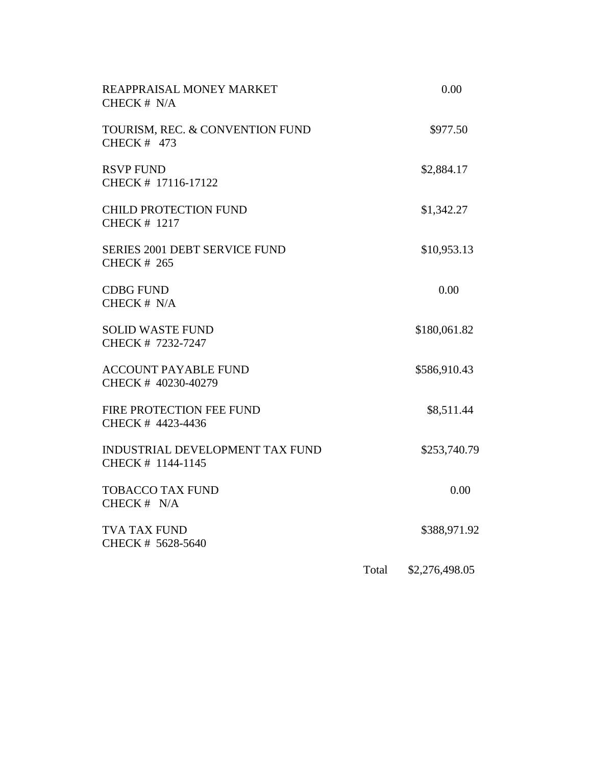| REAPPRAISAL MONEY MARKET<br>CHECK # N/A                     |       | 0.00           |  |
|-------------------------------------------------------------|-------|----------------|--|
| TOURISM, REC. & CONVENTION FUND<br><b>CHECK # 473</b>       |       | \$977.50       |  |
| <b>RSVP FUND</b><br>CHECK # 17116-17122                     |       | \$2,884.17     |  |
| CHILD PROTECTION FUND<br><b>CHECK # 1217</b>                |       | \$1,342.27     |  |
| <b>SERIES 2001 DEBT SERVICE FUND</b><br><b>CHECK # 265</b>  |       | \$10,953.13    |  |
| <b>CDBG FUND</b><br>CHECK # N/A                             |       | 0.00           |  |
| <b>SOLID WASTE FUND</b><br>CHECK # 7232-7247                |       | \$180,061.82   |  |
| <b>ACCOUNT PAYABLE FUND</b><br>CHECK # 40230-40279          |       | \$586,910.43   |  |
| FIRE PROTECTION FEE FUND<br>CHECK # 4423-4436               |       | \$8,511.44     |  |
| <b>INDUSTRIAL DEVELOPMENT TAX FUND</b><br>CHECK # 1144-1145 |       | \$253,740.79   |  |
| <b>TOBACCO TAX FUND</b><br>CHECK # N/A                      |       | 0.00           |  |
| <b>TVA TAX FUND</b><br>CHECK # 5628-5640                    |       | \$388,971.92   |  |
|                                                             | Total | \$2,276,498.05 |  |